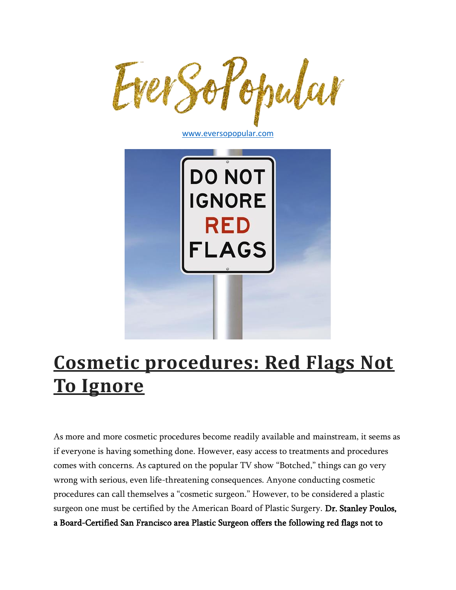

[www.eversopopular.com](http://www.eversopopular.com/)



# **[Cosmetic procedures: Red Flags Not](https://www.eversopopular.com/eversopopularblog/2018/9/28/cosmetic-procedures-red-flags-not-to-ignore)  [To Ignore](https://www.eversopopular.com/eversopopularblog/2018/9/28/cosmetic-procedures-red-flags-not-to-ignore)**

As more and more cosmetic procedures become readily available and mainstream, it seems as if everyone is having something done. However, easy access to treatments and procedures comes with concerns. As captured on the popular TV show "Botched," things can go very wrong with serious, even life-threatening consequences. Anyone conducting cosmetic procedures can call themselves a "cosmetic surgeon." However, to be considered a plastic surgeon one must be certified by the American Board of Plastic Surgery. Dr. Stanley Poulos, a Board-Certified San Francisco area Plastic Surgeon offers the following red flags not to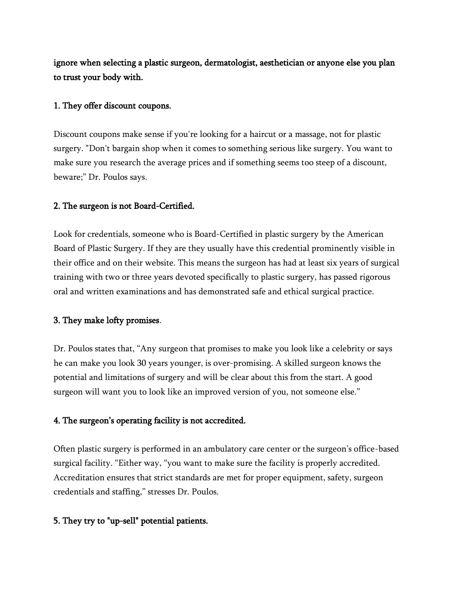ignore when selecting a plastic surgeon, dermatologist, aesthetician or anyone else you plan to trust your body with.

#### 1. They offer discount coupons.

Discount coupons make sense if you're looking for a haircut or a massage, not for plastic surgery. "Don't bargain shop when it comes to something serious like surgery. You want to make sure you research the average prices and if something seems too steep of a discount, beware;" Dr. Poulos says.

#### 2. The surgeon is not Board-Certified.

Look for credentials, someone who is Board-Certified in plastic surgery by the American Board of Plastic Surgery. If they are they usually have this credential prominently visible in their office and on their website. This means the surgeon has had at least six years of surgical training with two or three years devoted specifically to plastic surgery, has passed rigorous oral and written examinations and has demonstrated safe and ethical surgical practice.

#### 3. They make lofty promises.

Dr. Poulos states that, "Any surgeon that promises to make you look like a celebrity or says he can make you look 30 years younger, is over-promising. A skilled surgeon knows the potential and limitations of surgery and will be clear about this from the start. A good surgeon will want you to look like an improved version of you, not someone else."

#### 4. The surgeon's operating facility is not accredited.

Often plastic surgery is performed in an ambulatory care center or the surgeon's office-based surgical facility. "Either way, "you want to make sure the facility is properly accredited. Accreditation ensures that strict standards are met for proper equipment, safety, surgeon credentials and staffing," stresses Dr. Poulos.

#### 5. They try to "up-sell" potential patients.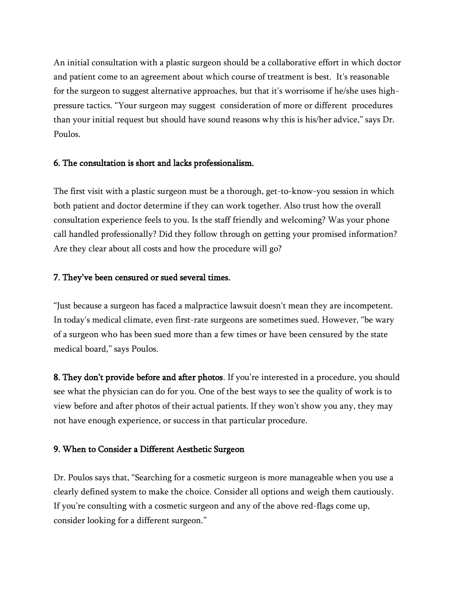An initial consultation with a plastic surgeon should be a collaborative effort in which doctor and patient come to an agreement about which course of treatment is best. It's reasonable for the surgeon to suggest alternative approaches, but that it's worrisome if he/she uses highpressure tactics. "Your surgeon may suggest consideration of more or different procedures than your initial request but should have sound reasons why this is his/her advice," says Dr. Poulos.

### 6. The consultation is short and lacks professionalism.

The first visit with a plastic surgeon must be a thorough, get-to-know-you session in which both patient and doctor determine if they can work together. Also trust how the overall consultation experience feels to you. Is the staff friendly and welcoming? Was your phone call handled professionally? Did they follow through on getting your promised information? Are they clear about all costs and how the procedure will go?

## 7. They've been censured or sued several times.

"Just because a surgeon has faced a malpractice lawsuit doesn't mean they are incompetent. In today's medical climate, even first-rate surgeons are sometimes sued. However, "be wary of a surgeon who has been sued more than a few times or have been censured by the state medical board," says Poulos.

**8. They don't provide before and after photos**. If you're interested in a procedure, you should see what the physician can do for you. One of the best ways to see the quality of work is to view before and after photos of their actual patients. If they won't show you any, they may not have enough experience, or success in that particular procedure.

## 9. When to Consider a Different Aesthetic Surgeon

Dr. Poulos says that, "Searching for a cosmetic surgeon is more manageable when you use a clearly defined system to make the choice. Consider all options and weigh them cautiously. If you're consulting with a cosmetic surgeon and any of the above red-flags come up, consider looking for a different surgeon."